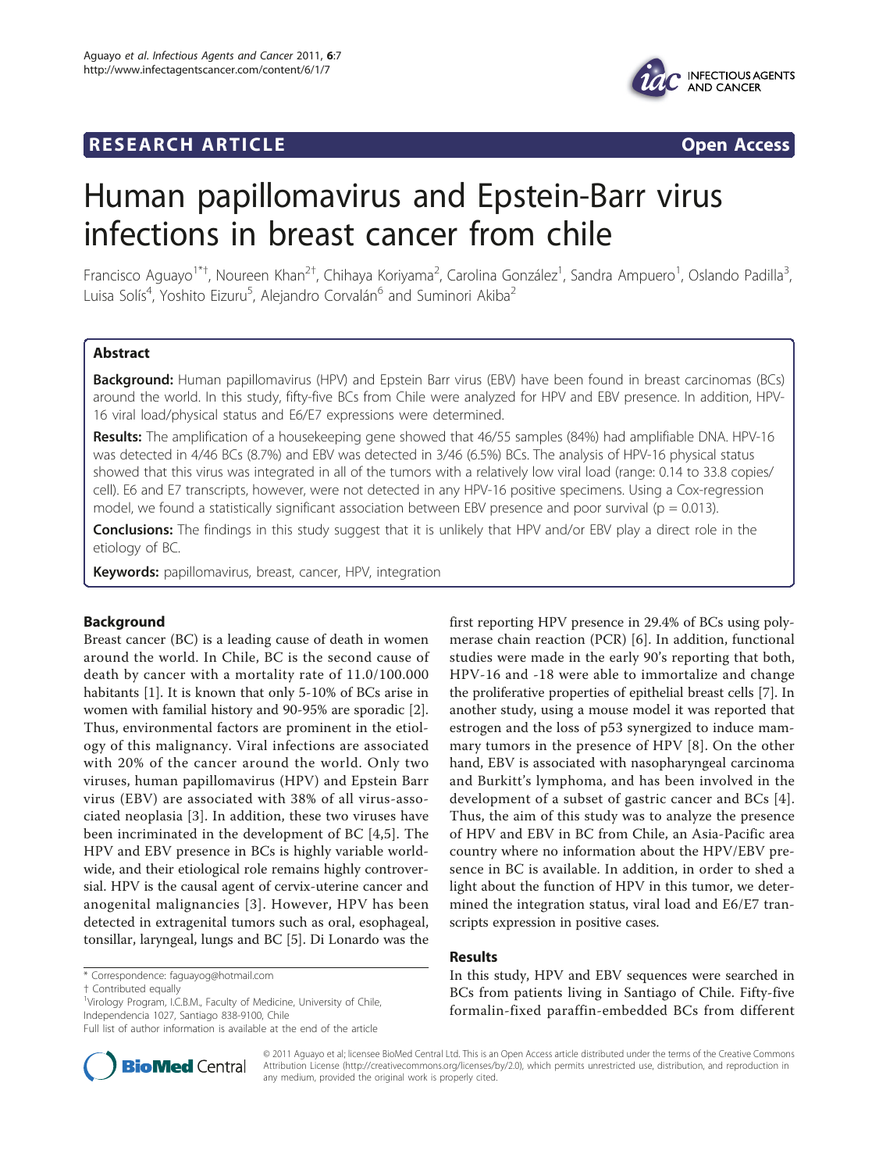## **RESEARCH ARTICLE Example 2018 12:00 Open Access**



# Human papillomavirus and Epstein-Barr virus infections in breast cancer from chile

Francisco Aguayo<sup>1\*†</sup>, Noureen Khan<sup>2†</sup>, Chihaya Koriyama<sup>2</sup>, Carolina González<sup>1</sup>, Sandra Ampuero<sup>1</sup>, Oslando Padilla<sup>3</sup> , Luisa Solís<sup>4</sup>, Yoshito Eizuru<sup>5</sup>, Alejandro Corvalán<sup>6</sup> and Suminori Akiba<sup>2</sup>

## Abstract

Background: Human papillomavirus (HPV) and Epstein Barr virus (EBV) have been found in breast carcinomas (BCs) around the world. In this study, fifty-five BCs from Chile were analyzed for HPV and EBV presence. In addition, HPV-16 viral load/physical status and E6/E7 expressions were determined.

Results: The amplification of a housekeeping gene showed that 46/55 samples (84%) had amplifiable DNA. HPV-16 was detected in 4/46 BCs (8.7%) and EBV was detected in 3/46 (6.5%) BCs. The analysis of HPV-16 physical status showed that this virus was integrated in all of the tumors with a relatively low viral load (range: 0.14 to 33.8 copies/ cell). E6 and E7 transcripts, however, were not detected in any HPV-16 positive specimens. Using a Cox-regression model, we found a statistically significant association between EBV presence and poor survival ( $p = 0.013$ ).

Conclusions: The findings in this study suggest that it is unlikely that HPV and/or EBV play a direct role in the etiology of BC.

Keywords: papillomavirus, breast, cancer, HPV, integration

## Background

Breast cancer (BC) is a leading cause of death in women around the world. In Chile, BC is the second cause of death by cancer with a mortality rate of 11.0/100.000 habitants [\[1](#page-5-0)]. It is known that only 5-10% of BCs arise in women with familial history and 90-95% are sporadic [\[2](#page-5-0)]. Thus, environmental factors are prominent in the etiology of this malignancy. Viral infections are associated with 20% of the cancer around the world. Only two viruses, human papillomavirus (HPV) and Epstein Barr virus (EBV) are associated with 38% of all virus-associated neoplasia [\[3](#page-5-0)]. In addition, these two viruses have been incriminated in the development of BC [[4,5](#page-5-0)]. The HPV and EBV presence in BCs is highly variable worldwide, and their etiological role remains highly controversial. HPV is the causal agent of cervix-uterine cancer and anogenital malignancies [[3\]](#page-5-0). However, HPV has been detected in extragenital tumors such as oral, esophageal, tonsillar, laryngeal, lungs and BC [\[5\]](#page-5-0). Di Lonardo was the

\* Correspondence: [faguayog@hotmail.com](mailto:faguayog@hotmail.com)



#### Results

In this study, HPV and EBV sequences were searched in BCs from patients living in Santiago of Chile. Fifty-five formalin-fixed paraffin-embedded BCs from different



© 2011 Aguayo et al; licensee BioMed Central Ltd. This is an Open Access article distributed under the terms of the Creative Commons Attribution License [\(http://creativecommons.org/licenses/by/2.0](http://creativecommons.org/licenses/by/2.0)), which permits unrestricted use, distribution, and reproduction in any medium, provided the original work is properly cited.

<sup>†</sup> Contributed equally <sup>1</sup>

<sup>&</sup>lt;sup>1</sup>Virology Program, I.C.B.M., Faculty of Medicine, University of Chile, Independencia 1027, Santiago 838-9100, Chile

Full list of author information is available at the end of the article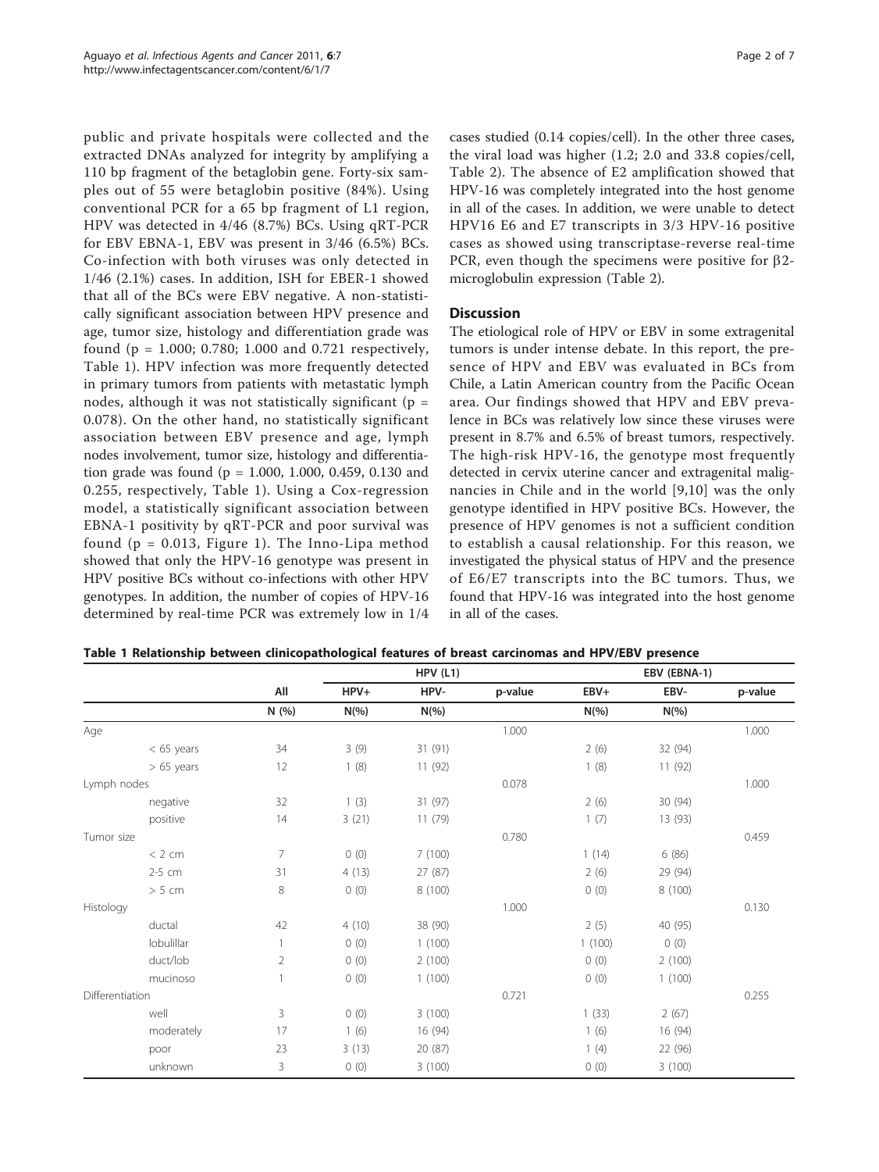public and private hospitals were collected and the extracted DNAs analyzed for integrity by amplifying a 110 bp fragment of the betaglobin gene. Forty-six samples out of 55 were betaglobin positive (84%). Using conventional PCR for a 65 bp fragment of L1 region, HPV was detected in 4/46 (8.7%) BCs. Using qRT-PCR for EBV EBNA-1, EBV was present in 3/46 (6.5%) BCs. Co-infection with both viruses was only detected in 1/46 (2.1%) cases. In addition, ISH for EBER-1 showed that all of the BCs were EBV negative. A non-statistically significant association between HPV presence and age, tumor size, histology and differentiation grade was found (p = 1.000; 0.780; 1.000 and 0.721 respectively, Table 1). HPV infection was more frequently detected in primary tumors from patients with metastatic lymph nodes, although it was not statistically significant ( $p =$ 0.078). On the other hand, no statistically significant association between EBV presence and age, lymph nodes involvement, tumor size, histology and differentiation grade was found (p = 1.000, 1.000, 0.459, 0.130 and 0.255, respectively, Table 1). Using a Cox-regression model, a statistically significant association between EBNA-1 positivity by qRT-PCR and poor survival was found  $(p = 0.013,$  Figure [1](#page-2-0)). The Inno-Lipa method showed that only the HPV-16 genotype was present in HPV positive BCs without co-infections with other HPV genotypes. In addition, the number of copies of HPV-16 determined by real-time PCR was extremely low in 1/4

cases studied (0.14 copies/cell). In the other three cases, the viral load was higher (1.2; 2.0 and 33.8 copies/cell, Table [2\)](#page-2-0). The absence of E2 amplification showed that HPV-16 was completely integrated into the host genome in all of the cases. In addition, we were unable to detect HPV16 E6 and E7 transcripts in 3/3 HPV-16 positive cases as showed using transcriptase-reverse real-time PCR, even though the specimens were positive for  $\beta$ 2microglobulin expression (Table [2](#page-2-0)).

## **Discussion**

The etiological role of HPV or EBV in some extragenital tumors is under intense debate. In this report, the presence of HPV and EBV was evaluated in BCs from Chile, a Latin American country from the Pacific Ocean area. Our findings showed that HPV and EBV prevalence in BCs was relatively low since these viruses were present in 8.7% and 6.5% of breast tumors, respectively. The high-risk HPV-16, the genotype most frequently detected in cervix uterine cancer and extragenital malignancies in Chile and in the world [[9](#page-5-0),[10\]](#page-5-0) was the only genotype identified in HPV positive BCs. However, the presence of HPV genomes is not a sufficient condition to establish a causal relationship. For this reason, we investigated the physical status of HPV and the presence of E6/E7 transcripts into the BC tumors. Thus, we found that HPV-16 was integrated into the host genome in all of the cases.

| Table 1 Relationship between clinicopathological features of breast carcinomas and HPV/EBV presence |  |
|-----------------------------------------------------------------------------------------------------|--|
|-----------------------------------------------------------------------------------------------------|--|

|                 |              | All            | HPV(L1)  |          |         | EBV (EBNA-1) |          |         |
|-----------------|--------------|----------------|----------|----------|---------|--------------|----------|---------|
|                 |              |                | $HPV+$   | HPV-     | p-value | EBV+         | EBV-     | p-value |
|                 |              | N (%)          | $N(\% )$ | $N(\% )$ |         | $N(\% )$     | $N(\% )$ |         |
| Age             |              |                |          |          | 1.000   |              |          | 1.000   |
|                 | $< 65$ years | 34             | 3(9)     | 31(91)   |         | 2(6)         | 32 (94)  |         |
|                 | $> 65$ years | 12             | 1(8)     | 11(92)   |         | 1(8)         | 11(92)   |         |
| Lymph nodes     |              |                |          |          | 0.078   |              |          | 1.000   |
|                 | negative     | 32             | 1(3)     | 31(97)   |         | 2(6)         | 30 (94)  |         |
|                 | positive     | 14             | 3(21)    | 11(79)   |         | 1(7)         | 13 (93)  |         |
| Tumor size      |              |                |          |          | 0.780   |              |          | 0.459   |
|                 | < 2 cm       | $\overline{7}$ | 0(0)     | 7(100)   |         | 1(14)        | 6(86)    |         |
|                 | 2-5 cm       | 31             | 4(13)    | 27 (87)  |         | 2(6)         | 29 (94)  |         |
|                 | > 5 cm       | 8              | 0(0)     | 8(100)   |         | 0(0)         | 8 (100)  |         |
| Histology       |              |                |          |          | 1.000   |              |          | 0.130   |
|                 | ductal       | 42             | 4(10)    | 38 (90)  |         | 2(5)         | 40 (95)  |         |
|                 | lobulillar   |                | 0(0)     | 1(100)   |         | 1(100)       | 0(0)     |         |
|                 | duct/lob     | $\overline{2}$ | 0(0)     | 2(100)   |         | 0(0)         | 2(100)   |         |
|                 | mucinoso     |                | 0(0)     | 1(100)   |         | 0(0)         | 1(100)   |         |
| Differentiation |              |                |          |          | 0.721   |              |          | 0.255   |
|                 | well         | 3              | 0(0)     | 3(100)   |         | 1(33)        | 2(67)    |         |
|                 | moderately   | 17             | 1(6)     | 16(94)   |         | 1(6)         | 16 (94)  |         |
|                 | poor         | 23             | 3(13)    | 20 (87)  |         | 1(4)         | 22 (96)  |         |
|                 | unknown      | 3              | 0(0)     | 3(100)   |         | 0(0)         | 3(100)   |         |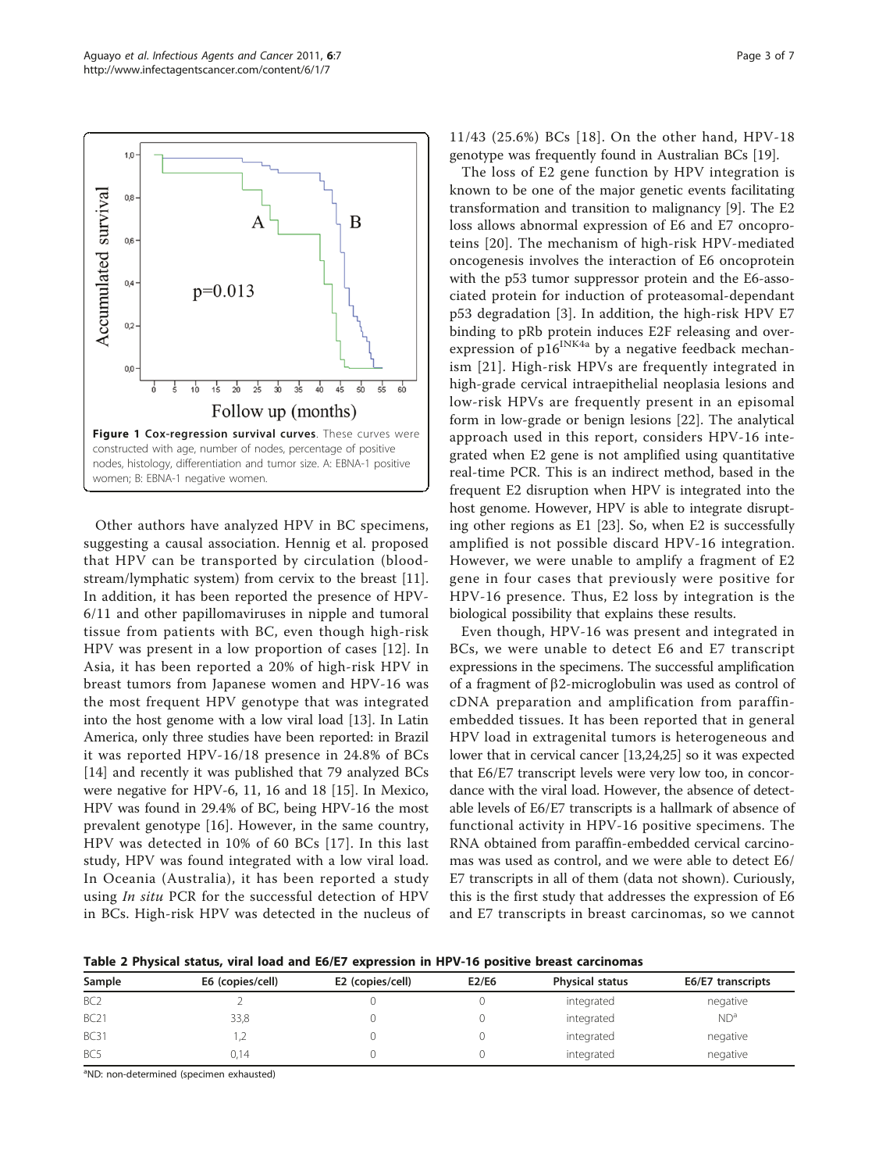<span id="page-2-0"></span>

Other authors have analyzed HPV in BC specimens, suggesting a causal association. Hennig et al. proposed that HPV can be transported by circulation (bloodstream/lymphatic system) from cervix to the breast [\[11](#page-5-0)]. In addition, it has been reported the presence of HPV-6/11 and other papillomaviruses in nipple and tumoral tissue from patients with BC, even though high-risk HPV was present in a low proportion of cases [\[12\]](#page-5-0). In Asia, it has been reported a 20% of high-risk HPV in breast tumors from Japanese women and HPV-16 was the most frequent HPV genotype that was integrated into the host genome with a low viral load [\[13](#page-5-0)]. In Latin America, only three studies have been reported: in Brazil it was reported HPV-16/18 presence in 24.8% of BCs [[14\]](#page-5-0) and recently it was published that 79 analyzed BCs were negative for HPV-6, 11, 16 and 18 [[15](#page-5-0)]. In Mexico, HPV was found in 29.4% of BC, being HPV-16 the most prevalent genotype [[16\]](#page-5-0). However, in the same country, HPV was detected in 10% of 60 BCs [[17](#page-5-0)]. In this last study, HPV was found integrated with a low viral load. In Oceania (Australia), it has been reported a study using *In situ* PCR for the successful detection of HPV in BCs. High-risk HPV was detected in the nucleus of

11/43 (25.6%) BCs [[18](#page-5-0)]. On the other hand, HPV-18 genotype was frequently found in Australian BCs [\[19](#page-5-0)].

The loss of E2 gene function by HPV integration is known to be one of the major genetic events facilitating transformation and transition to malignancy [[9\]](#page-5-0). The E2 loss allows abnormal expression of E6 and E7 oncoproteins [[20\]](#page-5-0). The mechanism of high-risk HPV-mediated oncogenesis involves the interaction of E6 oncoprotein with the p53 tumor suppressor protein and the E6-associated protein for induction of proteasomal-dependant p53 degradation [[3\]](#page-5-0). In addition, the high-risk HPV E7 binding to pRb protein induces E2F releasing and overexpression of  $p16^{INK4a}$  by a negative feedback mechanism [[21](#page-5-0)]. High-risk HPVs are frequently integrated in high-grade cervical intraepithelial neoplasia lesions and low-risk HPVs are frequently present in an episomal form in low-grade or benign lesions [[22](#page-5-0)]. The analytical approach used in this report, considers HPV-16 integrated when E2 gene is not amplified using quantitative real-time PCR. This is an indirect method, based in the frequent E2 disruption when HPV is integrated into the host genome. However, HPV is able to integrate disrupting other regions as E1 [[23](#page-5-0)]. So, when E2 is successfully amplified is not possible discard HPV-16 integration. However, we were unable to amplify a fragment of E2 gene in four cases that previously were positive for HPV-16 presence. Thus, E2 loss by integration is the biological possibility that explains these results.

Even though, HPV-16 was present and integrated in BCs, we were unable to detect E6 and E7 transcript expressions in the specimens. The successful amplification of a fragment of  $\beta$ 2-microglobulin was used as control of cDNA preparation and amplification from paraffinembedded tissues. It has been reported that in general HPV load in extragenital tumors is heterogeneous and lower that in cervical cancer [\[13,24,25\]](#page-5-0) so it was expected that E6/E7 transcript levels were very low too, in concordance with the viral load. However, the absence of detectable levels of E6/E7 transcripts is a hallmark of absence of functional activity in HPV-16 positive specimens. The RNA obtained from paraffin-embedded cervical carcinomas was used as control, and we were able to detect E6/ E7 transcripts in all of them (data not shown). Curiously, this is the first study that addresses the expression of E6 and E7 transcripts in breast carcinomas, so we cannot

Table 2 Physical status, viral load and E6/E7 expression in HPV-16 positive breast carcinomas

| Sample          | E6 (copies/cell) | E2 (copies/cell) | E2/E6 | Physical status | E6/E7 transcripts |
|-----------------|------------------|------------------|-------|-----------------|-------------------|
| BC <sub>2</sub> |                  |                  |       | integrated      | negative          |
| <b>BC21</b>     | 33,8             |                  |       | integrated      | ND <sup>a</sup>   |
| <b>BC31</b>     | ı                |                  |       | integrated      | negative          |
| BC <sub>5</sub> | 0.14             |                  |       | integrated      | negative          |

<sup>a</sup>ND: non-determined (specimen exhausted)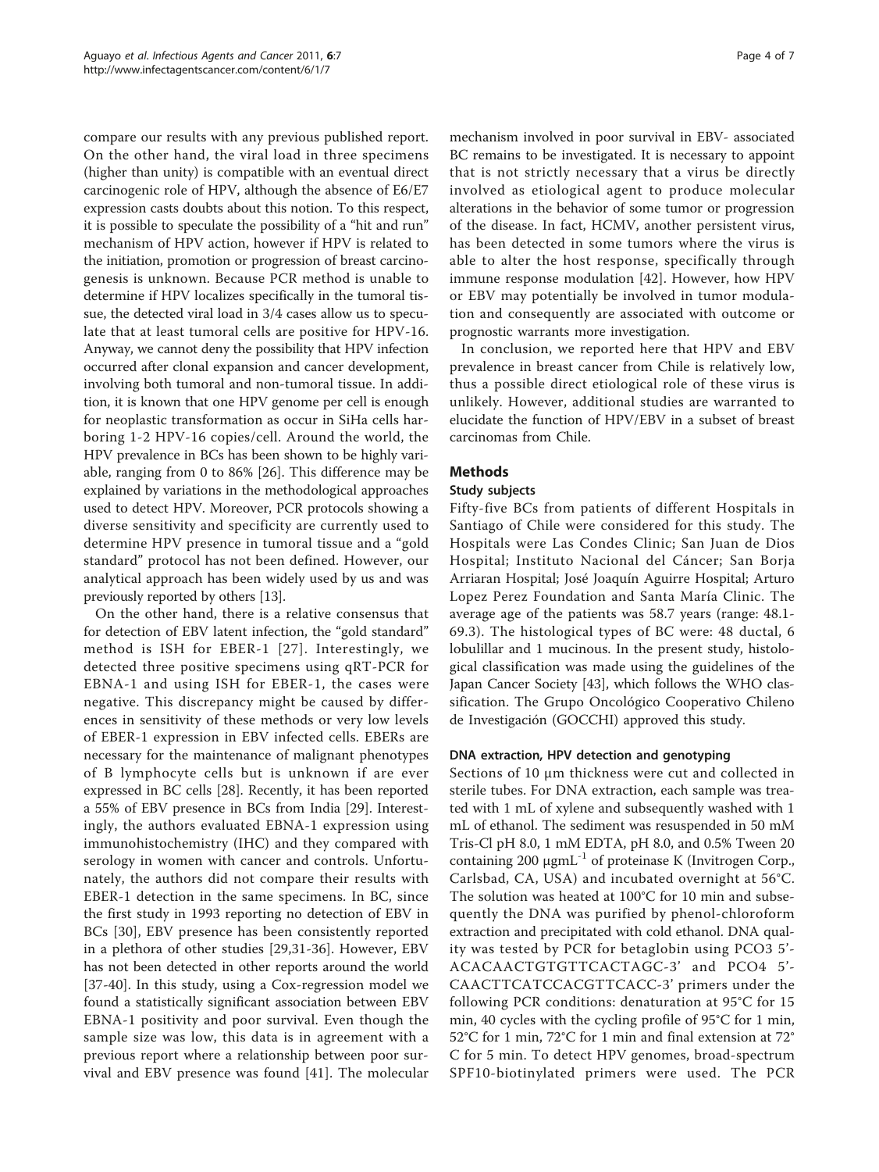compare our results with any previous published report. On the other hand, the viral load in three specimens (higher than unity) is compatible with an eventual direct carcinogenic role of HPV, although the absence of E6/E7 expression casts doubts about this notion. To this respect, it is possible to speculate the possibility of a "hit and run" mechanism of HPV action, however if HPV is related to the initiation, promotion or progression of breast carcinogenesis is unknown. Because PCR method is unable to determine if HPV localizes specifically in the tumoral tissue, the detected viral load in 3/4 cases allow us to speculate that at least tumoral cells are positive for HPV-16. Anyway, we cannot deny the possibility that HPV infection occurred after clonal expansion and cancer development, involving both tumoral and non-tumoral tissue. In addition, it is known that one HPV genome per cell is enough for neoplastic transformation as occur in SiHa cells harboring 1-2 HPV-16 copies/cell. Around the world, the HPV prevalence in BCs has been shown to be highly variable, ranging from 0 to 86% [[26\]](#page-6-0). This difference may be explained by variations in the methodological approaches used to detect HPV. Moreover, PCR protocols showing a diverse sensitivity and specificity are currently used to determine HPV presence in tumoral tissue and a "gold standard" protocol has not been defined. However, our analytical approach has been widely used by us and was previously reported by others [[13](#page-5-0)].

On the other hand, there is a relative consensus that for detection of EBV latent infection, the "gold standard" method is ISH for EBER-1 [[27\]](#page-6-0). Interestingly, we detected three positive specimens using qRT-PCR for EBNA-1 and using ISH for EBER-1, the cases were negative. This discrepancy might be caused by differences in sensitivity of these methods or very low levels of EBER-1 expression in EBV infected cells. EBERs are necessary for the maintenance of malignant phenotypes of B lymphocyte cells but is unknown if are ever expressed in BC cells [[28\]](#page-6-0). Recently, it has been reported a 55% of EBV presence in BCs from India [\[29](#page-6-0)]. Interestingly, the authors evaluated EBNA-1 expression using immunohistochemistry (IHC) and they compared with serology in women with cancer and controls. Unfortunately, the authors did not compare their results with EBER-1 detection in the same specimens. In BC, since the first study in 1993 reporting no detection of EBV in BCs [[30](#page-6-0)], EBV presence has been consistently reported in a plethora of other studies [[29](#page-6-0),[31-36](#page-6-0)]. However, EBV has not been detected in other reports around the world [[37-40](#page-6-0)]. In this study, using a Cox-regression model we found a statistically significant association between EBV EBNA-1 positivity and poor survival. Even though the sample size was low, this data is in agreement with a previous report where a relationship between poor survival and EBV presence was found [[41](#page-6-0)]. The molecular mechanism involved in poor survival in EBV- associated BC remains to be investigated. It is necessary to appoint that is not strictly necessary that a virus be directly involved as etiological agent to produce molecular alterations in the behavior of some tumor or progression of the disease. In fact, HCMV, another persistent virus, has been detected in some tumors where the virus is able to alter the host response, specifically through immune response modulation [\[42](#page-6-0)]. However, how HPV or EBV may potentially be involved in tumor modulation and consequently are associated with outcome or prognostic warrants more investigation.

In conclusion, we reported here that HPV and EBV prevalence in breast cancer from Chile is relatively low, thus a possible direct etiological role of these virus is unlikely. However, additional studies are warranted to elucidate the function of HPV/EBV in a subset of breast carcinomas from Chile.

## Methods

## Study subjects

Fifty-five BCs from patients of different Hospitals in Santiago of Chile were considered for this study. The Hospitals were Las Condes Clinic; San Juan de Dios Hospital; Instituto Nacional del Cáncer; San Borja Arriaran Hospital; José Joaquín Aguirre Hospital; Arturo Lopez Perez Foundation and Santa María Clinic. The average age of the patients was 58.7 years (range: 48.1- 69.3). The histological types of BC were: 48 ductal, 6 lobulillar and 1 mucinous. In the present study, histological classification was made using the guidelines of the Japan Cancer Society [[43\]](#page-6-0), which follows the WHO classification. The Grupo Oncológico Cooperativo Chileno de Investigación (GOCCHI) approved this study.

## DNA extraction, HPV detection and genotyping

Sections of 10 μm thickness were cut and collected in sterile tubes. For DNA extraction, each sample was treated with 1 mL of xylene and subsequently washed with 1 mL of ethanol. The sediment was resuspended in 50 mM Tris-Cl pH 8.0, 1 mM EDTA, pH 8.0, and 0.5% Tween 20 containing 200 μgmL $^{-1}$  of proteinase K (Invitrogen Corp., Carlsbad, CA, USA) and incubated overnight at 56°C. The solution was heated at 100°C for 10 min and subsequently the DNA was purified by phenol-chloroform extraction and precipitated with cold ethanol. DNA quality was tested by PCR for betaglobin using PCO3 5'- ACACAACTGTGTTCACTAGC-3' and PCO4 5'- CAACTTCATCCACGTTCACC-3' primers under the following PCR conditions: denaturation at 95°C for 15 min, 40 cycles with the cycling profile of 95°C for 1 min, 52°C for 1 min, 72°C for 1 min and final extension at 72° C for 5 min. To detect HPV genomes, broad-spectrum SPF10-biotinylated primers were used. The PCR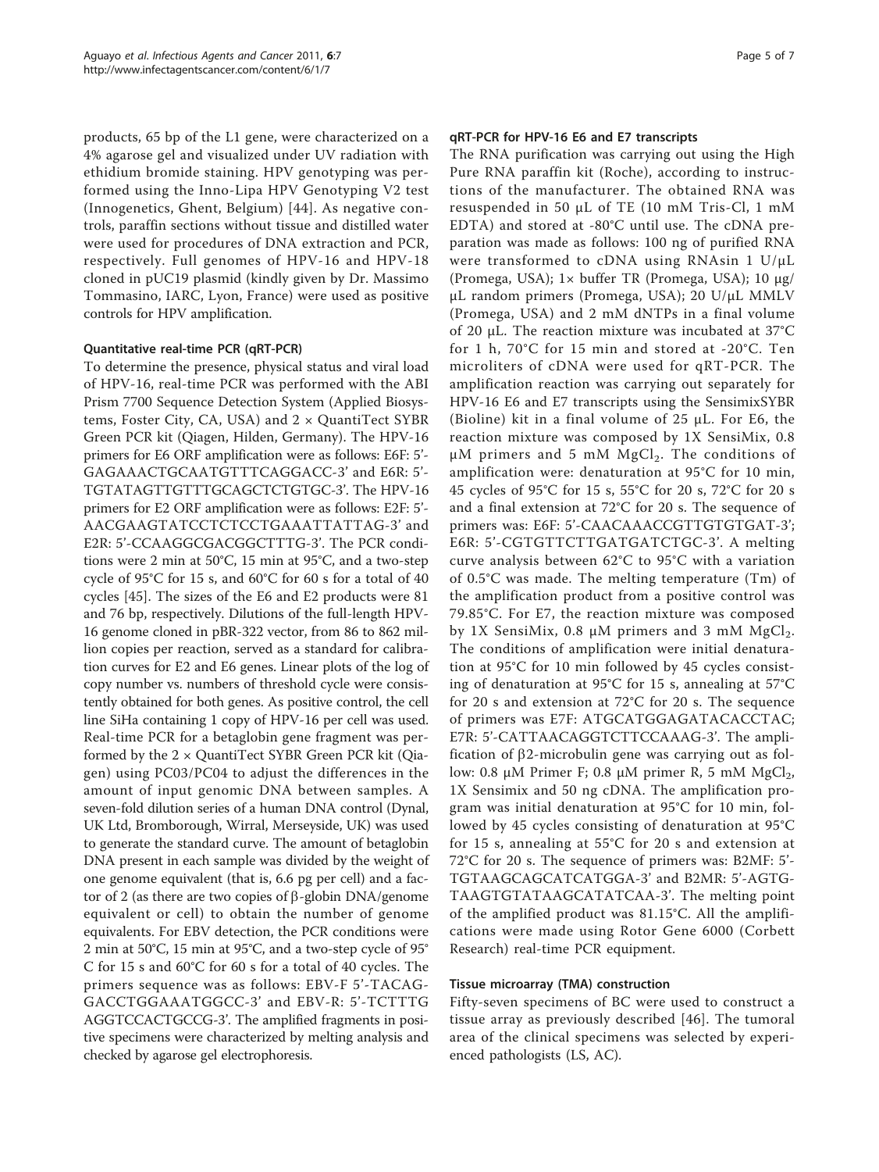products, 65 bp of the L1 gene, were characterized on a 4% agarose gel and visualized under UV radiation with ethidium bromide staining. HPV genotyping was performed using the Inno-Lipa HPV Genotyping V2 test (Innogenetics, Ghent, Belgium) [[44](#page-6-0)]. As negative controls, paraffin sections without tissue and distilled water were used for procedures of DNA extraction and PCR, respectively. Full genomes of HPV-16 and HPV-18 cloned in pUC19 plasmid (kindly given by Dr. Massimo Tommasino, IARC, Lyon, France) were used as positive controls for HPV amplification.

## Quantitative real-time PCR (qRT-PCR)

To determine the presence, physical status and viral load of HPV-16, real-time PCR was performed with the ABI Prism 7700 Sequence Detection System (Applied Biosystems, Foster City, CA, USA) and  $2 \times$  QuantiTect SYBR Green PCR kit (Qiagen, Hilden, Germany). The HPV-16 primers for E6 ORF amplification were as follows: E6F: 5'- GAGAAACTGCAATGTTTCAGGACC-3' and E6R: 5'- TGTATAGTTGTTTGCAGCTCTGTGC-3'. The HPV-16 primers for E2 ORF amplification were as follows: E2F: 5'- AACGAAGTATCCTCTCCTGAAATTATTAG-3' and E2R: 5'-CCAAGGCGACGGCTTTG-3'. The PCR conditions were 2 min at 50°C, 15 min at 95°C, and a two-step cycle of 95°C for 15 s, and 60°C for 60 s for a total of 40 cycles [\[45](#page-6-0)]. The sizes of the E6 and E2 products were 81 and 76 bp, respectively. Dilutions of the full-length HPV-16 genome cloned in pBR-322 vector, from 86 to 862 million copies per reaction, served as a standard for calibration curves for E2 and E6 genes. Linear plots of the log of copy number vs. numbers of threshold cycle were consistently obtained for both genes. As positive control, the cell line SiHa containing 1 copy of HPV-16 per cell was used. Real-time PCR for a betaglobin gene fragment was performed by the  $2 \times$  QuantiTect SYBR Green PCR kit (Qiagen) using PC03/PC04 to adjust the differences in the amount of input genomic DNA between samples. A seven-fold dilution series of a human DNA control (Dynal, UK Ltd, Bromborough, Wirral, Merseyside, UK) was used to generate the standard curve. The amount of betaglobin DNA present in each sample was divided by the weight of one genome equivalent (that is, 6.6 pg per cell) and a factor of 2 (as there are two copies of  $\beta$ -globin DNA/genome equivalent or cell) to obtain the number of genome equivalents. For EBV detection, the PCR conditions were 2 min at 50°C, 15 min at 95°C, and a two-step cycle of 95° C for 15 s and 60°C for 60 s for a total of 40 cycles. The primers sequence was as follows: EBV-F 5'-TACAG-GACCTGGAAATGGCC-3' and EBV-R: 5'-TCTTTG AGGTCCACTGCCG-3'. The amplified fragments in positive specimens were characterized by melting analysis and checked by agarose gel electrophoresis.

## qRT-PCR for HPV-16 E6 and E7 transcripts

The RNA purification was carrying out using the High Pure RNA paraffin kit (Roche), according to instructions of the manufacturer. The obtained RNA was resuspended in 50 μL of TE (10 mM Tris-Cl, 1 mM EDTA) and stored at -80°C until use. The cDNA preparation was made as follows: 100 ng of purified RNA were transformed to cDNA using RNAsin 1 U/μL (Promega, USA); 1× buffer TR (Promega, USA); 10 μg/ μL random primers (Promega, USA); 20 U/μL MMLV (Promega, USA) and 2 mM dNTPs in a final volume of 20 μL. The reaction mixture was incubated at 37°C for 1 h, 70°C for 15 min and stored at -20°C. Ten microliters of cDNA were used for qRT-PCR. The amplification reaction was carrying out separately for HPV-16 E6 and E7 transcripts using the SensimixSYBR (Bioline) kit in a final volume of 25 μL. For E6, the reaction mixture was composed by 1X SensiMix, 0.8  $\mu$ M primers and 5 mM MgCl<sub>2</sub>. The conditions of amplification were: denaturation at 95°C for 10 min, 45 cycles of 95°C for 15 s, 55°C for 20 s, 72°C for 20 s and a final extension at 72°C for 20 s. The sequence of primers was: E6F: 5'-CAACAAACCGTTGTGTGAT-3'; E6R: 5'-CGTGTTCTTGATGATCTGC-3'. A melting curve analysis between 62°C to 95°C with a variation of 0.5°C was made. The melting temperature (Tm) of the amplification product from a positive control was 79.85°C. For E7, the reaction mixture was composed by 1X SensiMix, 0.8 μM primers and 3 mM  $MgCl<sub>2</sub>$ . The conditions of amplification were initial denaturation at 95°C for 10 min followed by 45 cycles consisting of denaturation at 95°C for 15 s, annealing at 57°C for 20 s and extension at 72°C for 20 s. The sequence of primers was E7F: ATGCATGGAGATACACCTAC; E7R: 5'-CATTAACAGGTCTTCCAAAG-3'. The amplification of  $\beta$ 2-microbulin gene was carrying out as follow: 0.8 μM Primer F; 0.8 μM primer R, 5 mM  $MgCl<sub>2</sub>$ , 1X Sensimix and 50 ng cDNA. The amplification program was initial denaturation at 95°C for 10 min, followed by 45 cycles consisting of denaturation at 95°C for 15 s, annealing at 55°C for 20 s and extension at 72°C for 20 s. The sequence of primers was: B2MF: 5'- TGTAAGCAGCATCATGGA-3' and B2MR: 5'-AGTG-TAAGTGTATAAGCATATCAA-3'. The melting point of the amplified product was 81.15°C. All the amplifications were made using Rotor Gene 6000 (Corbett Research) real-time PCR equipment.

## Tissue microarray (TMA) construction

Fifty-seven specimens of BC were used to construct a tissue array as previously described [[46](#page-6-0)]. The tumoral area of the clinical specimens was selected by experienced pathologists (LS, AC).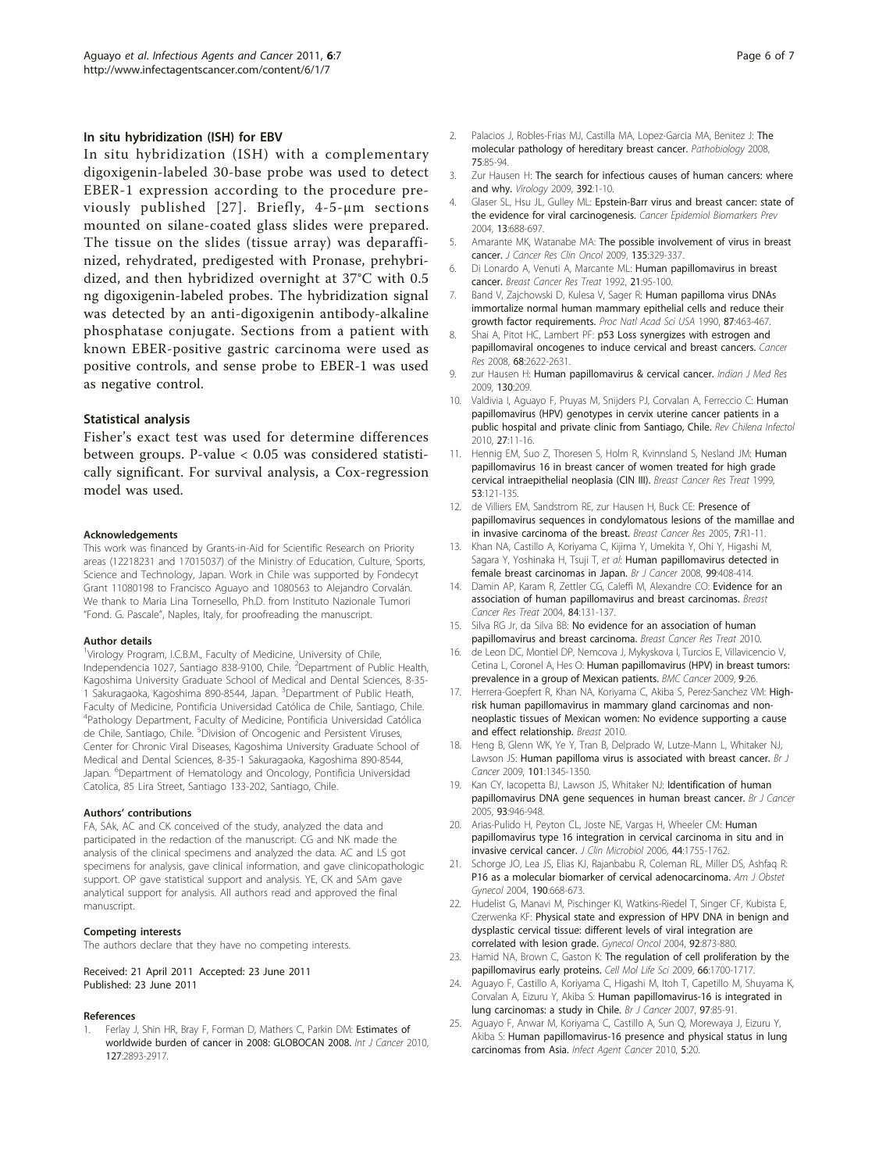#### <span id="page-5-0"></span>In situ hybridization (ISH) for EBV

In situ hybridization (ISH) with a complementary digoxigenin-labeled 30-base probe was used to detect EBER-1 expression according to the procedure previously published [[27](#page-6-0)]. Briefly, 4-5-μm sections mounted on silane-coated glass slides were prepared. The tissue on the slides (tissue array) was deparaffinized, rehydrated, predigested with Pronase, prehybridized, and then hybridized overnight at 37°C with 0.5 ng digoxigenin-labeled probes. The hybridization signal was detected by an anti-digoxigenin antibody-alkaline phosphatase conjugate. Sections from a patient with known EBER-positive gastric carcinoma were used as positive controls, and sense probe to EBER-1 was used as negative control.

#### Statistical analysis

Fisher's exact test was used for determine differences between groups. P-value < 0.05 was considered statistically significant. For survival analysis, a Cox-regression model was used.

#### Acknowledgements

This work was financed by Grants-in-Aid for Scientific Research on Priority areas (12218231 and 17015037) of the Ministry of Education, Culture, Sports, Science and Technology, Japan. Work in Chile was supported by Fondecyt Grant 11080198 to Francisco Aguayo and 1080563 to Alejandro Corvalán. We thank to Maria Lina Tornesello, Ph.D. from Instituto Nazionale Tumori "Fond. G. Pascale", Naples, Italy, for proofreading the manuscript.

#### Author details

<sup>1</sup>Virology Program, I.C.B.M., Faculty of Medicine, University of Chile, Independencia 1027, Santiago 838-9100, Chile. <sup>2</sup>Department of Public Health, Kagoshima University Graduate School of Medical and Dental Sciences, 8-35- 1 Sakuragaoka, Kagoshima 890-8544, Japan. <sup>3</sup>Department of Public Heath, Faculty of Medicine, Pontificia Universidad Católica de Chile, Santiago, Chile. 4 Pathology Department, Faculty of Medicine, Pontificia Universidad Católica de Chile, Santiago, Chile. <sup>5</sup>Division of Oncogenic and Persistent Viruses, Center for Chronic Viral Diseases, Kagoshima University Graduate School of Medical and Dental Sciences, 8-35-1 Sakuragaoka, Kagoshima 890-8544, Japan. <sup>6</sup>Department of Hematology and Oncology, Pontificia Universidad Catolica, 85 Lira Street, Santiago 133-202, Santiago, Chile.

#### Authors' contributions

FA, SAk, AC and CK conceived of the study, analyzed the data and participated in the redaction of the manuscript. CG and NK made the analysis of the clinical specimens and analyzed the data. AC and LS got specimens for analysis, gave clinical information, and gave clinicopathologic support. OP gave statistical support and analysis. YE, CK and SAm gave analytical support for analysis. All authors read and approved the final manuscript.

#### Competing interests

The authors declare that they have no competing interests.

#### Received: 21 April 2011 Accepted: 23 June 2011 Published: 23 June 2011

#### References

Ferlay J, Shin HR, Bray F, Forman D, Mathers C, Parkin DM: [Estimates of](http://www.ncbi.nlm.nih.gov/pubmed/21351269?dopt=Abstract) [worldwide burden of cancer in 2008: GLOBOCAN 2008.](http://www.ncbi.nlm.nih.gov/pubmed/21351269?dopt=Abstract) Int J Cancer 2010, 127:2893-2917.

- 2. Palacios J, Robles-Frias MJ, Castilla MA, Lopez-Garcia MA, Benitez J: [The](http://www.ncbi.nlm.nih.gov/pubmed/18544963?dopt=Abstract) [molecular pathology of hereditary breast cancer.](http://www.ncbi.nlm.nih.gov/pubmed/18544963?dopt=Abstract) Pathobiology 2008, 75:85-94.
- 3. Zur Hausen H: [The search for infectious causes of human cancers: where](http://www.ncbi.nlm.nih.gov/pubmed/19720205?dopt=Abstract) [and why.](http://www.ncbi.nlm.nih.gov/pubmed/19720205?dopt=Abstract) Virology 2009, 392:1-10.
- Glaser SL, Hsu JL, Gulley ML: [Epstein-Barr virus and breast cancer: state of](http://www.ncbi.nlm.nih.gov/pubmed/15159298?dopt=Abstract) [the evidence for viral carcinogenesis.](http://www.ncbi.nlm.nih.gov/pubmed/15159298?dopt=Abstract) Cancer Epidemiol Biomarkers Prev 2004, 13:688-697.
- 5. Amarante MK, Watanabe MA: [The possible involvement of virus in breast](http://www.ncbi.nlm.nih.gov/pubmed/19009309?dopt=Abstract) [cancer.](http://www.ncbi.nlm.nih.gov/pubmed/19009309?dopt=Abstract) J Cancer Res Clin Oncol 2009, 135:329-337.
- 6. Di Lonardo A, Venuti A, Marcante ML: [Human papillomavirus in breast](http://www.ncbi.nlm.nih.gov/pubmed/1320958?dopt=Abstract) [cancer.](http://www.ncbi.nlm.nih.gov/pubmed/1320958?dopt=Abstract) Breast Cancer Res Treat 1992, 21:95-100.
- 7. Band V, Zajchowski D, Kulesa V, Sager R: [Human papilloma virus DNAs](http://www.ncbi.nlm.nih.gov/pubmed/2153303?dopt=Abstract) [immortalize normal human mammary epithelial cells and reduce their](http://www.ncbi.nlm.nih.gov/pubmed/2153303?dopt=Abstract) [growth factor requirements.](http://www.ncbi.nlm.nih.gov/pubmed/2153303?dopt=Abstract) Proc Natl Acad Sci USA 1990, 87:463-467.
- 8. Shai A, Pitot HC, Lambert PF: [p53 Loss synergizes with estrogen and](http://www.ncbi.nlm.nih.gov/pubmed/18413729?dopt=Abstract) [papillomaviral oncogenes to induce cervical and breast cancers.](http://www.ncbi.nlm.nih.gov/pubmed/18413729?dopt=Abstract) Cancer Res 2008, 68:2622-2631.
- 9. zur Hausen H: [Human papillomavirus & cervical cancer.](http://www.ncbi.nlm.nih.gov/pubmed/19901427?dopt=Abstract) Indian J Med Res 2009, 130:209.
- 10. Valdivia I, Aguayo F, Pruyas M, Snijders PJ, Corvalan A, Ferreccio C: [Human](http://www.ncbi.nlm.nih.gov/pubmed/20140308?dopt=Abstract) [papillomavirus \(HPV\) genotypes in cervix uterine cancer patients in a](http://www.ncbi.nlm.nih.gov/pubmed/20140308?dopt=Abstract) [public hospital and private clinic from Santiago, Chile.](http://www.ncbi.nlm.nih.gov/pubmed/20140308?dopt=Abstract) Rev Chilena Infectol 2010, 27:11-16.
- 11. Hennig EM, Suo Z, Thoresen S, Holm R, Kvinnsland S, Nesland JM: [Human](http://www.ncbi.nlm.nih.gov/pubmed/10326789?dopt=Abstract) [papillomavirus 16 in breast cancer of women treated for high grade](http://www.ncbi.nlm.nih.gov/pubmed/10326789?dopt=Abstract) [cervical intraepithelial neoplasia \(CIN III\).](http://www.ncbi.nlm.nih.gov/pubmed/10326789?dopt=Abstract) Breast Cancer Res Treat 1999, 53:121-135.
- 12. de Villiers EM, Sandstrom RE, zur Hausen H, Buck CE: [Presence of](http://www.ncbi.nlm.nih.gov/pubmed/15642157?dopt=Abstract) [papillomavirus sequences in condylomatous lesions of the mamillae and](http://www.ncbi.nlm.nih.gov/pubmed/15642157?dopt=Abstract) [in invasive carcinoma of the breast.](http://www.ncbi.nlm.nih.gov/pubmed/15642157?dopt=Abstract) Breast Cancer Res 2005, 7:R1-11.
- 13. Khan NA, Castillo A, Koriyama C, Kijima Y, Umekita Y, Ohi Y, Higashi M, Sagara Y, Yoshinaka H, Tsuji T, et al: [Human papillomavirus detected in](http://www.ncbi.nlm.nih.gov/pubmed/18648364?dopt=Abstract) [female breast carcinomas in Japan.](http://www.ncbi.nlm.nih.gov/pubmed/18648364?dopt=Abstract) Br J Cancer 2008, 99:408-414
- 14. Damin AP, Karam R, Zettler CG, Caleffi M, Alexandre CO: [Evidence for an](http://www.ncbi.nlm.nih.gov/pubmed/14999143?dopt=Abstract) [association of human papillomavirus and breast carcinomas.](http://www.ncbi.nlm.nih.gov/pubmed/14999143?dopt=Abstract) Breast Cancer Res Treat 2004, 84:131-137.
- 15. Silva RG Jr, da Silva BB: No evidence for an association of human papillomavirus and breast carcinoma. Breast Cancer Res Treat 2010.
- 16. de Leon DC, Montiel DP, Nemcova J, Mykyskova I, Turcios E, Villavicencio V, Cetina L, Coronel A, Hes O: [Human papillomavirus \(HPV\) in breast tumors:](http://www.ncbi.nlm.nih.gov/pubmed/19161629?dopt=Abstract) [prevalence in a group of Mexican patients.](http://www.ncbi.nlm.nih.gov/pubmed/19161629?dopt=Abstract) BMC Cancer 2009, 9:26.
- 17. Herrera-Goepfert R, Khan NA, Koriyama C, Akiba S, Perez-Sanchez VM: Highrisk human papillomavirus in mammary gland carcinomas and nonneoplastic tissues of Mexican women: No evidence supporting a cause and effect relationship. Breast 2010.
- 18. Heng B, Glenn WK, Ye Y, Tran B, Delprado W, Lutze-Mann L, Whitaker NJ, Lawson JS: [Human papilloma virus is associated with breast cancer.](http://www.ncbi.nlm.nih.gov/pubmed/19724278?dopt=Abstract) Br J Cancer 2009, 101:1345-1350.
- 19. Kan CY, Iacopetta BJ, Lawson JS, Whitaker NJ: [Identification of human](http://www.ncbi.nlm.nih.gov/pubmed/16222323?dopt=Abstract) [papillomavirus DNA gene sequences in human breast cancer.](http://www.ncbi.nlm.nih.gov/pubmed/16222323?dopt=Abstract) Br J Cancer 2005, 93:946-948.
- 20. Arias-Pulido H, Peyton CL, Joste NE, Vargas H, Wheeler CM: [Human](http://www.ncbi.nlm.nih.gov/pubmed/16672403?dopt=Abstract) [papillomavirus type 16 integration in cervical carcinoma in situ and in](http://www.ncbi.nlm.nih.gov/pubmed/16672403?dopt=Abstract) [invasive cervical cancer.](http://www.ncbi.nlm.nih.gov/pubmed/16672403?dopt=Abstract) J Clin Microbiol 2006, 44:1755-1762.
- 21. Schorge JO, Lea JS, Elias KJ, Rajanbabu R, Coleman RL, Miller DS, Ashfaq R: [P16 as a molecular biomarker of cervical adenocarcinoma.](http://www.ncbi.nlm.nih.gov/pubmed/15041997?dopt=Abstract) Am J Obstet Gynecol 2004, 190:668-673.
- 22. Hudelist G, Manavi M, Pischinger KI, Watkins-Riedel T, Singer CF, Kubista E, Czerwenka KF: [Physical state and expression of HPV DNA in benign and](http://www.ncbi.nlm.nih.gov/pubmed/14984955?dopt=Abstract) [dysplastic cervical tissue: different levels of viral integration are](http://www.ncbi.nlm.nih.gov/pubmed/14984955?dopt=Abstract) [correlated with lesion grade.](http://www.ncbi.nlm.nih.gov/pubmed/14984955?dopt=Abstract) Gynecol Oncol 2004, 92:873-880.
- 23. Hamid NA, Brown C, Gaston K: [The regulation of cell proliferation by the](http://www.ncbi.nlm.nih.gov/pubmed/19183849?dopt=Abstract) [papillomavirus early proteins.](http://www.ncbi.nlm.nih.gov/pubmed/19183849?dopt=Abstract) Cell Mol Life Sci 2009, 66:1700-1717.
- 24. Aguayo F, Castillo A, Koriyama C, Higashi M, Itoh T, Capetillo M, Shuyama K, Corvalan A, Eizuru Y, Akiba S: [Human papillomavirus-16 is integrated in](http://www.ncbi.nlm.nih.gov/pubmed/17579626?dopt=Abstract) [lung carcinomas: a study in Chile.](http://www.ncbi.nlm.nih.gov/pubmed/17579626?dopt=Abstract) Br J Cancer 2007, 97:85-91.
- 25. Aguayo F, Anwar M, Koriyama C, Castillo A, Sun Q, Morewaya J, Eizuru Y, Akiba S: [Human papillomavirus-16 presence and physical status in lung](http://www.ncbi.nlm.nih.gov/pubmed/21080966?dopt=Abstract) [carcinomas from Asia.](http://www.ncbi.nlm.nih.gov/pubmed/21080966?dopt=Abstract) Infect Agent Cancer 2010, 5:20.